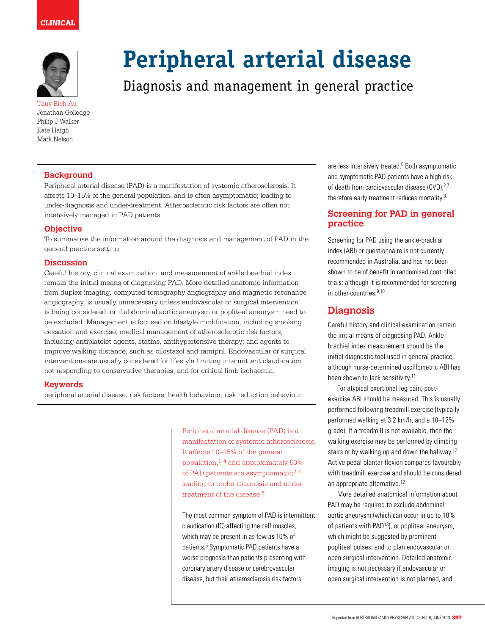# clinical



Thuy Bich Au Jonathan Golledge Philip J Walker Kate Haigh Mark Nelson

# **Peripheral arterial disease**

# Diagnosis and management in general practice

#### **Background**

Peripheral arterial disease (PAD) is a manifestation of systemic atherosclerosis. It affects 10–15% of the general population, and is often asymptomatic; leading to under-diagnosis and under-treatment. Atherosclerotic risk factors are often not intensively managed in PAD patients.

#### **Objective**

To summarise the information around the diagnosis and management of PAD in the general practice setting.

#### **Discussion**

Careful history, clinical examination, and measurement of ankle-brachial index remain the initial means of diagnosing PAD. More detailed anatomic information from duplex imaging, computed tomography angiography and magnetic resonance angiography, is usually unnecessary unless endovascular or surgical intervention is being considered, or if abdominal aortic aneurysm or popliteal aneurysm need to be excluded. Management is focused on lifestyle modification, including smoking cessation and exercise; medical management of atherosclerotic risk factors, including antiplatelet agents, statins, antihypertensive therapy; and agents to improve walking distance, such as cilostazol and ramipril. Endovascular or surgical interventions are usually considered for lifestyle limiting intermittent claudication not responding to conservative therapies, and for critical limb ischaemia.

#### **Keywords**

peripheral arterial disease; risk factors; health behaviour; risk reduction behaviour

Peripheral arterial disease (PAD) is a manifestation of systemic atherosclerosis. It affects 10–15% of the general population, $1-4$  and approximately 50% of PAD patients are asymptomatic;<sup>2,3</sup> leading to under-diagnosis and undertreatment of the disease.<sup>5</sup>

The most common symptom of PAD is intermittent claudication (IC) affecting the calf muscles, which may be present in as few as 10% of patients.<sup>5</sup> Symptomatic PAD patients have a worse prognosis than patients presenting with coronary artery disease or cerebrovascular disease, but their atherosclerosis risk factors

are less intensively treated.<sup>6</sup> Both asymptomatic and symptomatic PAD patients have a high risk of death from cardiovascular disease (CVD),<sup>2,7</sup> therefore early treatment reduces mortality.<sup>8</sup>

## **Screening for PAD in general practice**

Screening for PAD using the ankle-brachial index (ABI) or questionnaire is not currently recommended in Australia, and has not been shown to be of benefit in randomised controlled trials; although it is recommended for screening in other countries.9,10

# **Diagnosis**

Careful history and clinical examination remain the initial means of diagnosing PAD. Anklebrachial index measurement should be the initial diagnostic tool used in general practice, although nurse-determined oscillometric ABI has been shown to lack sensitivity.11

For atypical exertional leg pain, postexercise ABI should be measured. This is usually performed following treadmill exercise (typically performed walking at 3.2 km/h, and a 10–12% grade). If a treadmill is not available, then the walking exercise may be performed by climbing stairs or by walking up and down the hallway.<sup>12</sup> Active pedal plantar flexion compares favourably with treadmill exercise and should be considered an appropriate alternative.12

More detailed anatomical information about PAD may be required to exclude abdominal aortic aneurysm (which can occur in up to 10% of patients with  $PAD^{13}$ ), or popliteal aneurysm, which might be suggested by prominent popliteal pulses, and to plan endovascular or open surgical intervention. Detailed anatomic imaging is not necessary if endovascular or open surgical intervention is not planned, and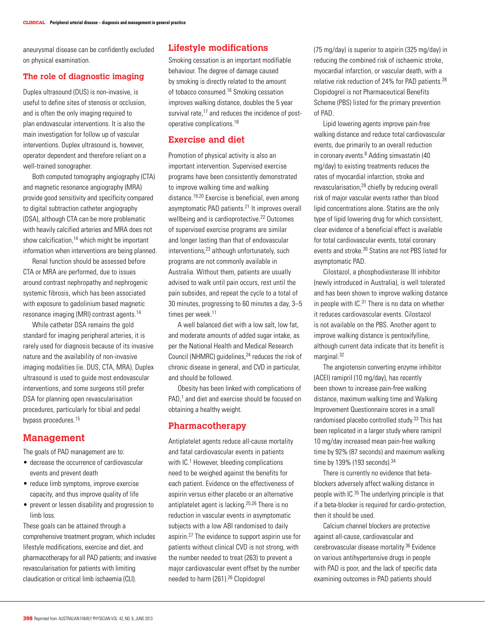aneurysmal disease can be confidently excluded on physical examination.

#### **The role of diagnostic imaging**

Duplex ultrasound (DUS) is non-invasive, is useful to define sites of stenosis or occlusion, and is often the only imaging required to plan endovascular interventions. It is also the main investigation for follow up of vascular interventions. Duplex ultrasound is, however, operator dependent and therefore reliant on a well-trained sonographer.

Both computed tomography angiography (CTA) and magnetic resonance angiography (MRA) provide good sensitivity and specificity compared to digital subtraction catheter angiography (DSA), although CTA can be more problematic with heavily calcified arteries and MRA does not show calcification, $14$  which might be important information when interventions are being planned.

Renal function should be assessed before CTA or MRA are performed, due to issues around contrast nephropathy and nephrogenic systemic fibrosis, which has been associated with exposure to gadolinium based magnetic resonance imaging (MRI) contrast agents.14

While catheter DSA remains the gold standard for imaging peripheral arteries, it is rarely used for diagnosis because of its invasive nature and the availability of non-invasive imaging modalities (ie. DUS, CTA, MRA). Duplex ultrasound is used to guide most endovascular interventions, and some surgeons still prefer DSA for planning open revascularisation procedures, particularly for tibial and pedal bypass procedures.15

#### **Management**

The goals of PAD management are to:

- decrease the occurrence of cardiovascular events and prevent death
- reduce limb symptoms, improve exercise capacity, and thus improve quality of life
- prevent or lessen disability and progression to limb loss.

These goals can be attained through a comprehensive treatment program, which includes lifestyle modifications, exercise and diet, and pharmacotherapy for all PAD patients; and invasive revascularisation for patients with limiting claudication or critical limb ischaemia (CLI).

#### **Lifestyle modifications**

Smoking cessation is an important modifiable behaviour. The degree of damage caused by smoking is directly related to the amount of tobacco consumed.16 Smoking cessation improves walking distance, doubles the 5 year survival rate.<sup>17</sup> and reduces the incidence of postoperative complications.18

#### **Exercise and diet**

Promotion of physical activity is also an important intervention. Supervised exercise programs have been consistently demonstrated to improve walking time and walking distance.19,20 Exercise is beneficial, even among asymptomatic PAD patients.21 It improves overall wellbeing and is cardioprotective.<sup>22</sup> Outcomes of supervised exercise programs are similar and longer lasting than that of endovascular interventions,23 although unfortunately, such programs are not commonly available in Australia. Without them, patients are usually advised to walk until pain occurs, rest until the pain subsides, and repeat the cycle to a total of 30 minutes, progressing to 60 minutes a day, 3–5 times per week.<sup>11</sup>

A well balanced diet with a low salt, low fat, and moderate amounts of added sugar intake, as per the National Health and Medical Research Council (NHMRC) guidelines,<sup>24</sup> reduces the risk of chronic disease in general, and CVD in particular, and should be followed.

Obesity has been linked with complications of PAD,<sup>1</sup> and diet and exercise should be focused on obtaining a healthy weight.

#### **Pharmacotherapy**

Antiplatelet agents reduce all-cause mortality and fatal cardiovascular events in patients with IC.<sup>1</sup> However, bleeding complications need to be weighed against the benefits for each patient. Evidence on the effectiveness of aspirin versus either placebo or an alternative antiplatelet agent is lacking.25,26 There is no reduction in vascular events in asymptomatic subjects with a low ABI randomised to daily aspirin.27 The evidence to support aspirin use for patients without clinical CVD is not strong, with the number needed to treat (263) to prevent a major cardiovascular event offset by the number needed to harm (261).<sup>26</sup> Clopidogrel

(75 mg/day) is superior to aspirin (325 mg/day) in reducing the combined risk of ischaemic stroke, myocardial infarction, or vascular death, with a relative risk reduction of 24% for PAD patients.28 Clopidogrel is not Pharmaceutical Benefits Scheme (PBS) listed for the primary prevention of PAD.

Lipid lowering agents improve pain-free walking distance and reduce total cardiovascular events, due primarily to an overall reduction in coronary events.<sup>8</sup> Adding simvastatin (40 mg/day) to existing treatments reduces the rates of myocardial infarction, stroke and revascularisation,29 chiefly by reducing overall risk of major vascular events rather than blood lipid concentrations alone. Statins are the only type of lipid lowering drug for which consistent, clear evidence of a beneficial effect is available for total cardiovascular events, total coronary events and stroke.30 Statins are not PBS listed for asymptomatic PAD.

Cilostazol, a phosphodiesterase III inhibitor (newly introduced in Australia), is well tolerated and has been shown to improve walking distance in people with  $IC^{31}$  There is no data on whether it reduces cardiovascular events. Cilostazol is not available on the PBS. Another agent to improve walking distance is pentoxifylline, although current data indicate that its benefit is marginal.32

The angiotensin converting enzyme inhibitor (ACEI) ramipril (10 mg/day), has recently been shown to increase pain-free walking distance, maximum walking time and Walking Improvement Questionnaire scores in a small randomised placebo controlled study.<sup>33</sup> This has been replicated in a larger study where ramipril 10 mg/day increased mean pain-free walking time by 92% (87 seconds) and maximum walking time by 139% (193 seconds). 34

There is currently no evidence that betablockers adversely affect walking distance in people with IC.35 The underlying principle is that if a beta-blocker is required for cardio-protection, then it should be used.

Calcium channel blockers are protective against all-cause, cardiovascular and cerebrovascular disease mortality.36 Evidence on various antihypertensive drugs in people with PAD is poor, and the lack of specific data examining outcomes in PAD patients should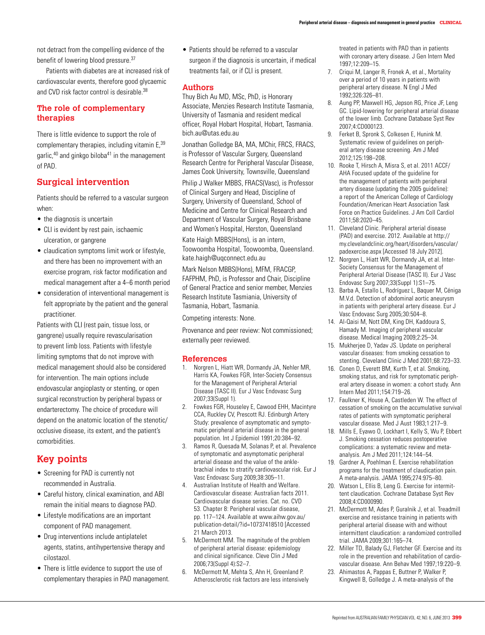not detract from the compelling evidence of the benefit of lowering blood pressure.<sup>37</sup>

Patients with diabetes are at increased risk of cardiovascular events, therefore good glycaemic and CVD risk factor control is desirable.<sup>38</sup>

#### **The role of complementary therapies**

There is little evidence to support the role of complementary therapies, including vitamin E,<sup>39</sup> garlic, $40$  and ginkgo biloba $41$  in the management of PAD.

### **Surgical intervention**

Patients should be referred to a vascular surgeon when:

- the diagnosis is uncertain
- CLI is evident by rest pain, ischaemic ulceration, or gangrene
- claudication symptoms limit work or lifestyle, and there has been no improvement with an exercise program, risk factor modification and medical management after a 4–6 month period
- • consideration of interventional management is felt appropriate by the patient and the general practitioner.

Patients with CLI (rest pain, tissue loss, or gangrene) usually require revascularisation to prevent limb loss. Patients with lifestyle limiting symptoms that do not improve with medical management should also be considered for intervention. The main options include endovascular angioplasty or stenting, or open surgical reconstruction by peripheral bypass or endarterectomy. The choice of procedure will depend on the anatomic location of the stenotic/ occlusive disease, its extent, and the patient's comorbidities.

# **Key points**

- Screening for PAD is currently not recommended in Australia.
- Careful history, clinical examination, and ABI remain the initial means to diagnose PAD.
- • Lifestyle modifications are an important component of PAD management.
- Drug interventions include antiplatelet agents, statins, antihypertensive therapy and cilostazol.
- There is little evidence to support the use of complementary therapies in PAD management.

• Patients should be referred to a vascular surgeon if the diagnosis is uncertain, if medical treatments fail, or if CLI is present.

#### **Authors**

Thuy Bich Au MD, MSc, PhD, is Honorary Associate, Menzies Research Institute Tasmania, University of Tasmania and resident medical officer, Royal Hobart Hospital, Hobart, Tasmania. bich.au@utas.edu.au

Jonathan Golledge BA, MA, MChir, FRCS, FRACS, is Professor of Vascular Surgery, Queensland Research Centre for Peripheral Vascular Disease, James Cook University, Townsville, Queensland

Philip J Walker MBBS, FRACS(Vasc), is Professor of Clinical Surgery and Head, Discipline of Surgery, University of Queensland, School of Medicine and Centre for Clinical Research and Department of Vascular Surgery, Royal Brisbane and Women's Hospital, Herston, Queensland

Kate Haigh MBBS(Hons), is an intern, Toowoomba Hospital, Toowoomba, Queensland. kate.haigh@uqconnect.edu.au

Mark Nelson MBBS(Hons), MFM, FRACGP, FAFPHM, PhD, is Professor and Chair, Discipline of General Practice and senior member, Menzies Research Institute Tasmiania, University of Tasmania, Hobart, Tasmania.

Competing interests: None.

Provenance and peer review: Not commissioned; externally peer reviewed.

#### **References**

- 1. Norgren L, Hiatt WR, Dormandy JA, Nehler MR, Harris KA, Fowkes FGR, Inter-Society Consensus for the Management of Peripheral Arterial Disease (TASC II). Eur J Vasc Endovasc Surg 2007;33(Suppl 1).
- 2. Fowkes FGR, Houseley E, Cawood EHH, Macintyre CCA, Ruckley CV, Prescott RJ. Edinburgh Artery Study: prevalence of asymptomatic and symptomatic peripheral arterial disease in the general population. Int J Epidemiol 1991;20:384–92.
- 3. Ramos R, Quesada M, Solanas P, et al. Prevalence of symptomatic and asymptomatic peripheral arterial disease and the value of the anklebrachial index to stratify cardiovascular risk. Eur J Vasc Endovasc Surg 2009;38:305–11.
- 4. Australian Institute of Health and Welfare. Cardiovascular disease: Australian facts 2011. Cardiovascular disease series. Cat. no. CVD 53. Chapter 8: Peripheral vascular disease, pp. 117–124. Available at www.aihw.gov.au/ publication-detail/?id=10737418510 [Accessed 21 March 2013.
- 5. McDermott MM. The magnitude of the problem of peripheral arterial disease: epidemiology and clinical significance. Cleve Clin J Med 2006;73(Suppl 4):S2–7.
- 6. McDermott M, Mehta S, Ahn H, Greenland P. Atherosclerotic risk factors are less intensively

treated in patients with PAD than in patients with coronary artery disease. J Gen Intern Med 1997;12:209–15.

- 7. Criqui M, Langer R, Fronek A, et al., Mortality over a period of 10 years in patients with peripheral artery disease. N Engl J Med 1992;326:326–81.
- 8. Aung PP, Maxwell HG, Jepson RG, Price JF, Leng GC. Lipid-lowering for peripheral arterial disease of the lower limb. Cochrane Database Syst Rev 2007;4:CD000123.
- 9. Ferket B, Spronk S, Colkesen E, Hunink M. Systematic review of guidelines on peripheral artery disease screening. Am J Med 2012;125:198–208.
- 10. Rooke T, Hirsch A, Misra S, et al. 2011 ACCF/ AHA Focused update of the guideline for the management of patients with peripheral artery disease (updating the 2005 guideline): a report of the American College of Cardiology Foundation/American Heart Association Task Force on Practice Guidelines. J Am Coll Cardiol 2011;58:2020–45.
- 11. Cleveland Clinic. Peripheral arterial disease (PAD) and exercise. 2012. Available at http:// my.clevelandclinic.org/heart/disorders/vascular/ padexercise.aspx [Accessed 18 July 2012].
- 12. Norgren L, Hiatt WR, Dormandy JA, et al. Inter-Society Consensus for the Management of Peripheral Arterial Disease (TASC II). Eur J Vasc Endovasc Surg 2007;33(Suppl 1):S1–75.
- 13. Barba A, Estallo L, Rodríguez L, Baquer M, Céniga M.V.d. Detection of abdominal aortic aneurysm in patients with peripheral artery disease. Eur J Vasc Endovasc Surg 2005;30:504–8.
- 14. Al-Qaisi M, Nott DM, King DH, Kaddoura S, Hamady M. Imaging of peripheral vascular disease. Medical Imaging 2009;2:25–34.
- 15. Mukherjee D, Yadav JS. Update on peripheral vascular diseases: from smoking cessation to stenting. Cleveland Clinic J Med 2001;68:723–33.
- 16. Conen D, Everett BM, Kurth T, et al. Smoking, smoking status, and risk for symptomatic peripheral artery disease in women: a cohort study. Ann Intern Med 2011;154:719–26.
- 17. Faulkner K, House A, Castleden W. The effect of cessation of smoking on the accumulative survival rates of patients with symptomatic peripheral vascular disease. Med J Aust 1983;1:217–9.
- 18. Mills E, Eyawo O, Lockhart I, Kelly S, Wu P, Ebbert J. Smoking cessation reduces postoperative complications: a systematic review and metaanalysis. Am J Med 2011;124:144–54.
- 19. Gardner A, Poehlman E. Exercise rehabilitation programs for the treatment of claudication pain. A meta-analysis. JAMA 1995;274:975–80.
- 20. Watson L, Ellis B, Leng G. Exercise for intermittent claudication. Cochrane Database Syst Rev 2008;4:CD000990.
- 21. McDermott M, Ades P, Guralnik J, et al. Treadmill exercise and resistance training in patients with peripheral arterial disease with and without intermittent claudication: a randomized controlled trial. JAMA 2009;301:165–74.
- 22. Miller TD, Balady GJ, Fletcher GF. Exercise and its role in the prevention and rehabilitation of cardiovascular disease. Ann Behav Med 1997;19:220–9.
- Ahimastos A, Pappas E, Buttner P, Walker P, Kingwell B, Golledge J. A meta-analysis of the